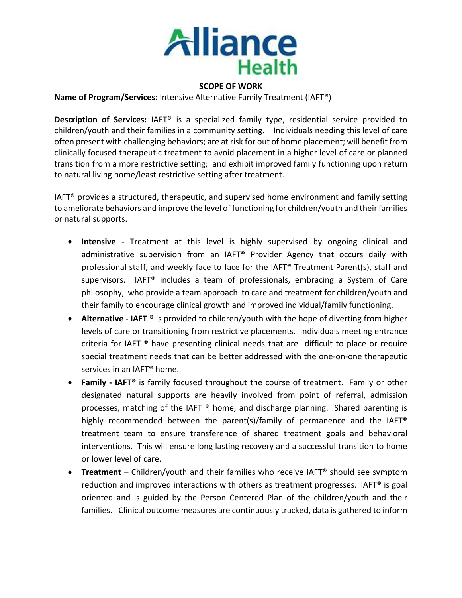

#### **SCOPE OF WORK**

**Name of Program/Services:** Intensive Alternative Family Treatment (IAFT®)

**Description of Services:** IAFT® is a specialized family type, residential service provided to children/youth and their families in a community setting. Individuals needing this level of care often present with challenging behaviors; are at risk for out of home placement; will benefit from clinically focused therapeutic treatment to avoid placement in a higher level of care or planned transition from a more restrictive setting; and exhibit improved family functioning upon return to natural living home/least restrictive setting after treatment.

IAFT<sup>®</sup> provides a structured, therapeutic, and supervised home environment and family setting to ameliorate behaviors and improve the level of functioning for children/youth and their families or natural supports.

- **Intensive -** Treatment at this level is highly supervised by ongoing clinical and administrative supervision from an IAFT® Provider Agency that occurs daily with professional staff, and weekly face to face for the IAFT® Treatment Parent(s), staff and supervisors. IAFT® includes a team of professionals, embracing a System of Care philosophy, who provide a team approach to care and treatment for children/youth and their family to encourage clinical growth and improved individual/family functioning.
- **Alternative - IAFT ®** is provided to children/youth with the hope of diverting from higher levels of care or transitioning from restrictive placements. Individuals meeting entrance criteria for IAFT ® have presenting clinical needs that are difficult to place or require special treatment needs that can be better addressed with the one-on-one therapeutic services in an IAFT® home.
- **Family - IAFT®** is family focused throughout the course of treatment. Family or other designated natural supports are heavily involved from point of referral, admission processes, matching of the IAFT ® home, and discharge planning. Shared parenting is highly recommended between the parent(s)/family of permanence and the IAFT® treatment team to ensure transference of shared treatment goals and behavioral interventions. This will ensure long lasting recovery and a successful transition to home or lower level of care.
- **Treatment** Children/youth and their families who receive IAFT® should see symptom reduction and improved interactions with others as treatment progresses. IAFT<sup>®</sup> is goal oriented and is guided by the Person Centered Plan of the children/youth and their families. Clinical outcome measures are continuously tracked, data is gathered to inform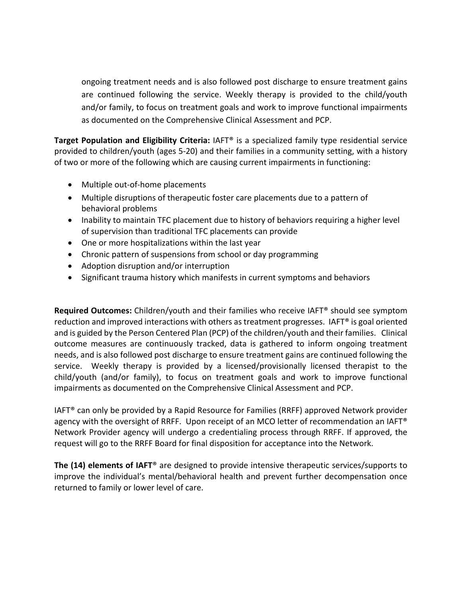ongoing treatment needs and is also followed post discharge to ensure treatment gains are continued following the service. Weekly therapy is provided to the child/youth and/or family, to focus on treatment goals and work to improve functional impairments as documented on the Comprehensive Clinical Assessment and PCP.

**Target Population and Eligibility Criteria:** IAFT® is a specialized family type residential service provided to children/youth (ages 5-20) and their families in a community setting, with a history of two or more of the following which are causing current impairments in functioning:

- Multiple out-of-home placements
- Multiple disruptions of therapeutic foster care placements due to a pattern of behavioral problems
- Inability to maintain TFC placement due to history of behaviors requiring a higher level of supervision than traditional TFC placements can provide
- One or more hospitalizations within the last year
- Chronic pattern of suspensions from school or day programming
- Adoption disruption and/or interruption
- Significant trauma history which manifests in current symptoms and behaviors

**Required Outcomes:** Children/youth and their families who receive IAFT® should see symptom reduction and improved interactions with others as treatment progresses. IAFT® is goal oriented and is guided by the Person Centered Plan (PCP) of the children/youth and their families. Clinical outcome measures are continuously tracked, data is gathered to inform ongoing treatment needs, and is also followed post discharge to ensure treatment gains are continued following the service. Weekly therapy is provided by a licensed/provisionally licensed therapist to the child/youth (and/or family), to focus on treatment goals and work to improve functional impairments as documented on the Comprehensive Clinical Assessment and PCP.

IAFT® can only be provided by a Rapid Resource for Families (RRFF) approved Network provider agency with the oversight of RRFF. Upon receipt of an MCO letter of recommendation an IAFT® Network Provider agency will undergo a credentialing process through RRFF. If approved, the request will go to the RRFF Board for final disposition for acceptance into the Network.

**The (14) elements of IAFT**® are designed to provide intensive therapeutic services/supports to improve the individual's mental/behavioral health and prevent further decompensation once returned to family or lower level of care.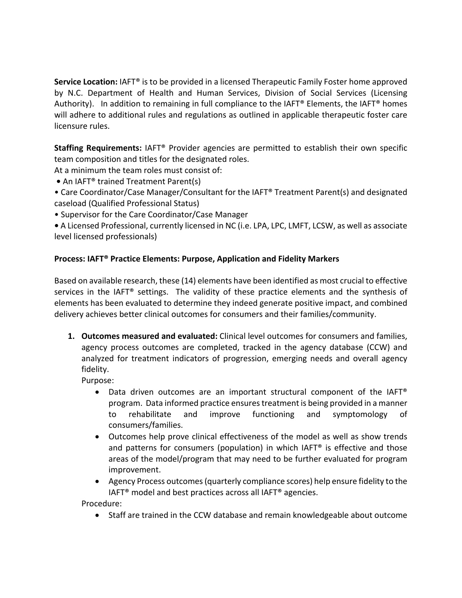**Service Location:** IAFT® is to be provided in a licensed Therapeutic Family Foster home approved by N.C. Department of Health and Human Services, Division of Social Services (Licensing Authority). In addition to remaining in full compliance to the IAFT® Elements, the IAFT® homes will adhere to additional rules and regulations as outlined in applicable therapeutic foster care licensure rules.

**Staffing Requirements:** IAFT® Provider agencies are permitted to establish their own specific team composition and titles for the designated roles.

At a minimum the team roles must consist of:

**•** An IAFT® trained Treatment Parent(s)

• Care Coordinator/Case Manager/Consultant for the IAFT® Treatment Parent(s) and designated caseload (Qualified Professional Status)

• Supervisor for the Care Coordinator/Case Manager

**•** A Licensed Professional, currently licensed in NC (i.e. LPA, LPC, LMFT, LCSW, as well as associate level licensed professionals)

### **Process: IAFT® Practice Elements: Purpose, Application and Fidelity Markers**

Based on available research, these (14) elements have been identified as most crucial to effective services in the IAFT<sup>®</sup> settings. The validity of these practice elements and the synthesis of elements has been evaluated to determine they indeed generate positive impact, and combined delivery achieves better clinical outcomes for consumers and their families/community.

**1. Outcomes measured and evaluated:** Clinical level outcomes for consumers and families, agency process outcomes are completed, tracked in the agency database (CCW) and analyzed for treatment indicators of progression, emerging needs and overall agency fidelity.

Purpose:

- Data driven outcomes are an important structural component of the IAFT® program. Data informed practice ensures treatment is being provided in a manner to rehabilitate and improve functioning and symptomology of consumers/families.
- Outcomes help prove clinical effectiveness of the model as well as show trends and patterns for consumers (population) in which IAFT® is effective and those areas of the model/program that may need to be further evaluated for program improvement.
- Agency Process outcomes (quarterly compliance scores) help ensure fidelity to the IAFT® model and best practices across all IAFT® agencies.

Procedure:

• Staff are trained in the CCW database and remain knowledgeable about outcome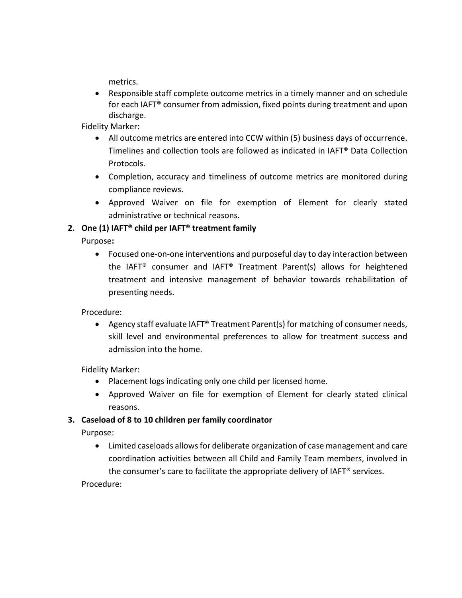metrics.

• Responsible staff complete outcome metrics in a timely manner and on schedule for each IAFT® consumer from admission, fixed points during treatment and upon discharge.

Fidelity Marker:

- All outcome metrics are entered into CCW within (5) business days of occurrence. Timelines and collection tools are followed as indicated in IAFT® Data Collection Protocols.
- Completion, accuracy and timeliness of outcome metrics are monitored during compliance reviews.
- Approved Waiver on file for exemption of Element for clearly stated administrative or technical reasons.

### **2. One (1) IAFT® child per IAFT® treatment family**

Purpose**:** 

• Focused one-on-one interventions and purposeful day to day interaction between the IAFT® consumer and IAFT® Treatment Parent(s) allows for heightened treatment and intensive management of behavior towards rehabilitation of presenting needs.

Procedure:

• Agency staff evaluate IAFT® Treatment Parent(s) for matching of consumer needs, skill level and environmental preferences to allow for treatment success and admission into the home.

Fidelity Marker:

- Placement logs indicating only one child per licensed home.
- Approved Waiver on file for exemption of Element for clearly stated clinical reasons.

### **3. Caseload of 8 to 10 children per family coordinator**

Purpose:

• Limited caseloads allows for deliberate organization of case management and care coordination activities between all Child and Family Team members, involved in the consumer's care to facilitate the appropriate delivery of IAFT® services.

Procedure: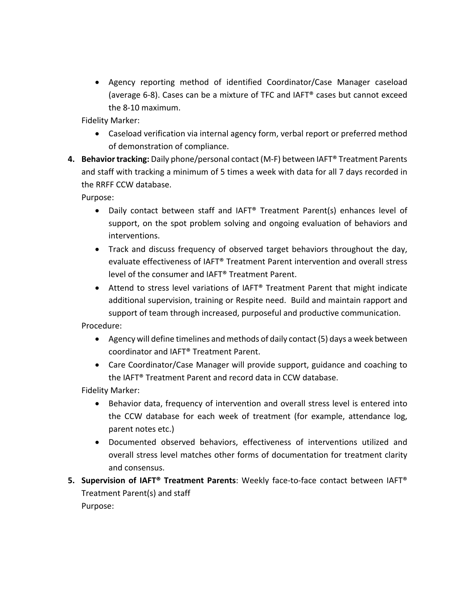• Agency reporting method of identified Coordinator/Case Manager caseload (average 6-8). Cases can be a mixture of TFC and IAFT® cases but cannot exceed the 8-10 maximum.

Fidelity Marker:

- Caseload verification via internal agency form, verbal report or preferred method of demonstration of compliance.
- **4. Behavior tracking:** Daily phone/personal contact (M-F) between IAFT® Treatment Parents and staff with tracking a minimum of 5 times a week with data for all 7 days recorded in the RRFF CCW database.

Purpose:

- Daily contact between staff and IAFT® Treatment Parent(s) enhances level of support, on the spot problem solving and ongoing evaluation of behaviors and interventions.
- Track and discuss frequency of observed target behaviors throughout the day, evaluate effectiveness of IAFT® Treatment Parent intervention and overall stress level of the consumer and IAFT® Treatment Parent.
- Attend to stress level variations of IAFT® Treatment Parent that might indicate additional supervision, training or Respite need. Build and maintain rapport and support of team through increased, purposeful and productive communication.

Procedure:

- Agency will define timelines and methods of daily contact (5) days a week between coordinator and IAFT® Treatment Parent.
- Care Coordinator/Case Manager will provide support, guidance and coaching to the IAFT® Treatment Parent and record data in CCW database.

Fidelity Marker:

- Behavior data, frequency of intervention and overall stress level is entered into the CCW database for each week of treatment (for example, attendance log, parent notes etc.)
- Documented observed behaviors, effectiveness of interventions utilized and overall stress level matches other forms of documentation for treatment clarity and consensus.
- **5. Supervision of IAFT® Treatment Parents**: Weekly face-to-face contact between IAFT® Treatment Parent(s) and staff Purpose: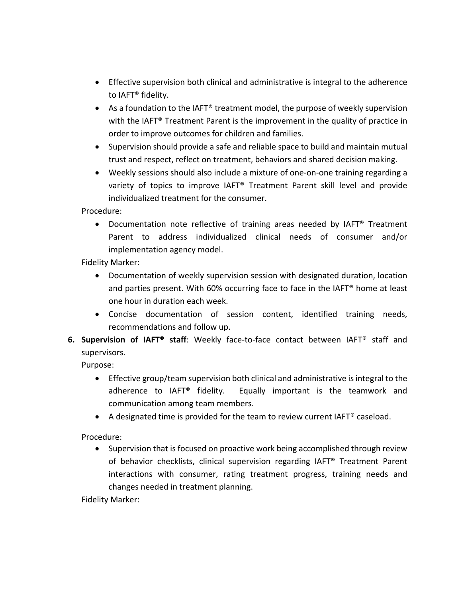- Effective supervision both clinical and administrative is integral to the adherence to IAFT® fidelity.
- As a foundation to the IAFT® treatment model, the purpose of weekly supervision with the IAFT<sup>®</sup> Treatment Parent is the improvement in the quality of practice in order to improve outcomes for children and families.
- Supervision should provide a safe and reliable space to build and maintain mutual trust and respect, reflect on treatment, behaviors and shared decision making.
- Weekly sessions should also include a mixture of one-on-one training regarding a variety of topics to improve IAFT® Treatment Parent skill level and provide individualized treatment for the consumer.

Procedure:

• Documentation note reflective of training areas needed by IAFT® Treatment Parent to address individualized clinical needs of consumer and/or implementation agency model.

Fidelity Marker:

- Documentation of weekly supervision session with designated duration, location and parties present. With 60% occurring face to face in the IAFT® home at least one hour in duration each week.
- Concise documentation of session content, identified training needs, recommendations and follow up.
- **6. Supervision of IAFT® staff**: Weekly face-to-face contact between IAFT® staff and supervisors.

Purpose:

- Effective group/team supervision both clinical and administrative is integral to the adherence to IAFT<sup>®</sup> fidelity. Equally important is the teamwork and communication among team members.
- A designated time is provided for the team to review current IAFT® caseload.

Procedure:

• Supervision that is focused on proactive work being accomplished through review of behavior checklists, clinical supervision regarding IAFT® Treatment Parent interactions with consumer, rating treatment progress, training needs and changes needed in treatment planning.

Fidelity Marker: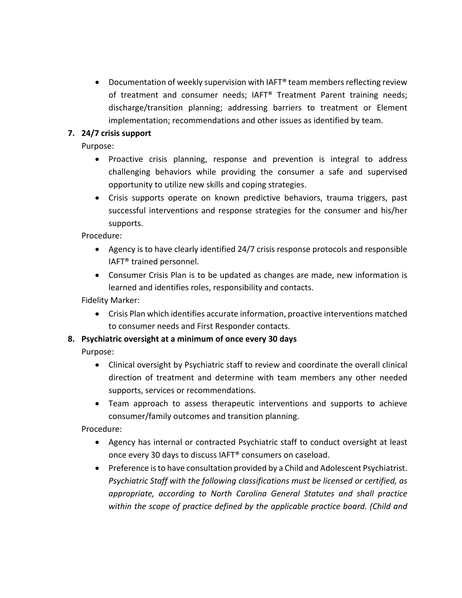• Documentation of weekly supervision with IAFT® team members reflecting review of treatment and consumer needs; IAFT® Treatment Parent training needs; discharge/transition planning; addressing barriers to treatment or Element implementation; recommendations and other issues as identified by team.

### **7. 24/7 crisis support**

Purpose:

- Proactive crisis planning, response and prevention is integral to address challenging behaviors while providing the consumer a safe and supervised opportunity to utilize new skills and coping strategies.
- Crisis supports operate on known predictive behaviors, trauma triggers, past successful interventions and response strategies for the consumer and his/her supports.

Procedure:

- Agency is to have clearly identified 24/7 crisis response protocols and responsible IAFT® trained personnel.
- Consumer Crisis Plan is to be updated as changes are made, new information is learned and identifies roles, responsibility and contacts.

Fidelity Marker:

• Crisis Plan which identifies accurate information, proactive interventions matched to consumer needs and First Responder contacts.

### **8. Psychiatric oversight at a minimum of once every 30 days**

Purpose:

- Clinical oversight by Psychiatric staff to review and coordinate the overall clinical direction of treatment and determine with team members any other needed supports, services or recommendations.
- Team approach to assess therapeutic interventions and supports to achieve consumer/family outcomes and transition planning.

Procedure:

- Agency has internal or contracted Psychiatric staff to conduct oversight at least once every 30 days to discuss IAFT® consumers on caseload.
- Preference is to have consultation provided by a Child and Adolescent Psychiatrist. *Psychiatric Staff with the following classifications must be licensed or certified, as appropriate, according to North Carolina General Statutes and shall practice within the scope of practice defined by the applicable practice board. (Child and*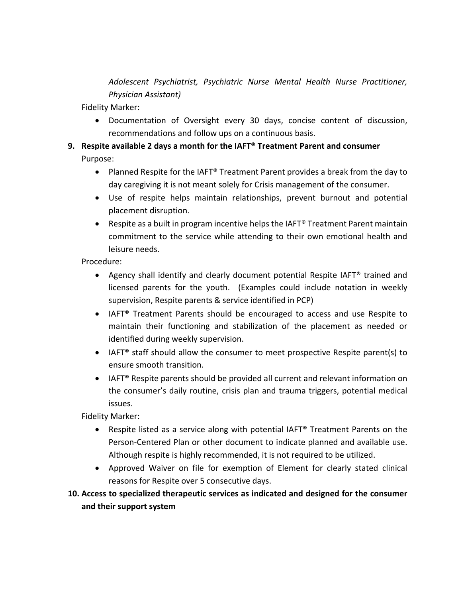*Adolescent Psychiatrist, Psychiatric Nurse Mental Health Nurse Practitioner, Physician Assistant)*

Fidelity Marker:

- Documentation of Oversight every 30 days, concise content of discussion, recommendations and follow ups on a continuous basis.
- **9. Respite available 2 days a month for the IAFT® Treatment Parent and consumer**  Purpose:
	- Planned Respite for the IAFT® Treatment Parent provides a break from the day to day caregiving it is not meant solely for Crisis management of the consumer.
	- Use of respite helps maintain relationships, prevent burnout and potential placement disruption.
	- Respite as a built in program incentive helps the IAFT® Treatment Parent maintain commitment to the service while attending to their own emotional health and leisure needs.

Procedure:

- Agency shall identify and clearly document potential Respite IAFT® trained and licensed parents for the youth. (Examples could include notation in weekly supervision, Respite parents & service identified in PCP)
- IAFT® Treatment Parents should be encouraged to access and use Respite to maintain their functioning and stabilization of the placement as needed or identified during weekly supervision.
- IAFT<sup>®</sup> staff should allow the consumer to meet prospective Respite parent(s) to ensure smooth transition.
- IAFT<sup>®</sup> Respite parents should be provided all current and relevant information on the consumer's daily routine, crisis plan and trauma triggers, potential medical issues.

Fidelity Marker:

- Respite listed as a service along with potential IAFT® Treatment Parents on the Person-Centered Plan or other document to indicate planned and available use. Although respite is highly recommended, it is not required to be utilized.
- Approved Waiver on file for exemption of Element for clearly stated clinical reasons for Respite over 5 consecutive days.

### **10. Access to specialized therapeutic services as indicated and designed for the consumer and their support system**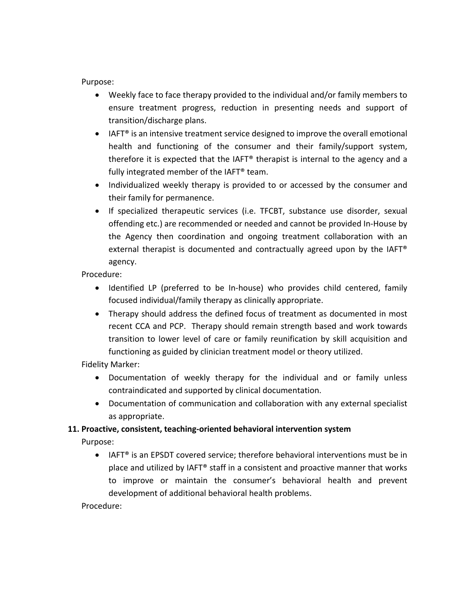Purpose:

- Weekly face to face therapy provided to the individual and/or family members to ensure treatment progress, reduction in presenting needs and support of transition/discharge plans.
- IAFT<sup>®</sup> is an intensive treatment service designed to improve the overall emotional health and functioning of the consumer and their family/support system, therefore it is expected that the IAFT® therapist is internal to the agency and a fully integrated member of the IAFT® team.
- Individualized weekly therapy is provided to or accessed by the consumer and their family for permanence.
- If specialized therapeutic services (i.e. TFCBT, substance use disorder, sexual offending etc.) are recommended or needed and cannot be provided In-House by the Agency then coordination and ongoing treatment collaboration with an external therapist is documented and contractually agreed upon by the IAFT® agency.

Procedure:

- Identified LP (preferred to be In-house) who provides child centered, family focused individual/family therapy as clinically appropriate.
- Therapy should address the defined focus of treatment as documented in most recent CCA and PCP. Therapy should remain strength based and work towards transition to lower level of care or family reunification by skill acquisition and functioning as guided by clinician treatment model or theory utilized.

Fidelity Marker:

- Documentation of weekly therapy for the individual and or family unless contraindicated and supported by clinical documentation.
- Documentation of communication and collaboration with any external specialist as appropriate.

### **11. Proactive, consistent, teaching-oriented behavioral intervention system**

Purpose:

• IAFT® is an EPSDT covered service; therefore behavioral interventions must be in place and utilized by IAFT® staff in a consistent and proactive manner that works to improve or maintain the consumer's behavioral health and prevent development of additional behavioral health problems.

Procedure: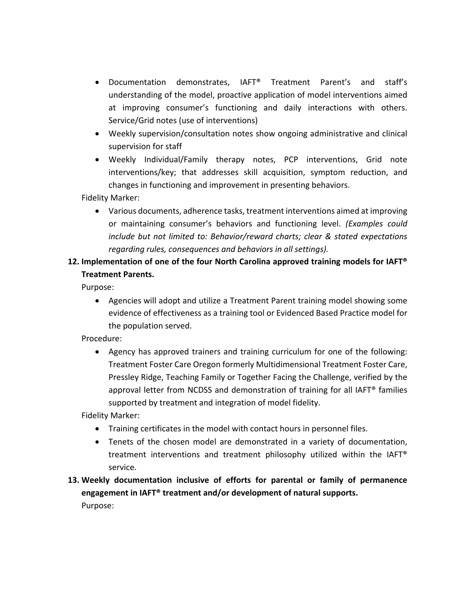- Documentation demonstrates, IAFT® Treatment Parent's and staff's understanding of the model, proactive application of model interventions aimed at improving consumer's functioning and daily interactions with others. Service/Grid notes (use of interventions)
- Weekly supervision/consultation notes show ongoing administrative and clinical supervision for staff
- Weekly Individual/Family therapy notes, PCP interventions, Grid note interventions/key; that addresses skill acquisition, symptom reduction, and changes in functioning and improvement in presenting behaviors.

Fidelity Marker:

• Various documents, adherence tasks, treatment interventions aimed at improving or maintaining consumer's behaviors and functioning level. *(Examples could include but not limited to: Behavior/reward charts; clear & stated expectations regarding rules, consequences and behaviors in all settings).*

## **12. Implementation of one of the four North Carolina approved training models for IAFT® Treatment Parents.**

Purpose:

• Agencies will adopt and utilize a Treatment Parent training model showing some evidence of effectiveness as a training tool or Evidenced Based Practice model for the population served.

Procedure:

• Agency has approved trainers and training curriculum for one of the following: Treatment Foster Care Oregon formerly Multidimensional Treatment Foster Care, Pressley Ridge, Teaching Family or Together Facing the Challenge, verified by the approval letter from NCDSS and demonstration of training for all IAFT® families supported by treatment and integration of model fidelity.

Fidelity Marker:

- Training certificates in the model with contact hours in personnel files.
- Tenets of the chosen model are demonstrated in a variety of documentation, treatment interventions and treatment philosophy utilized within the IAFT® service.

# **13. Weekly documentation inclusive of efforts for parental or family of permanence engagement in IAFT® treatment and/or development of natural supports.**

Purpose: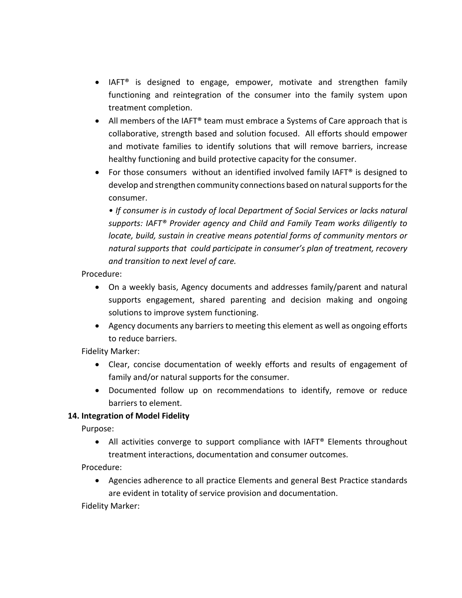- IAFT® is designed to engage, empower, motivate and strengthen family functioning and reintegration of the consumer into the family system upon treatment completion.
- All members of the IAFT® team must embrace a Systems of Care approach that is collaborative, strength based and solution focused. All efforts should empower and motivate families to identify solutions that will remove barriers, increase healthy functioning and build protective capacity for the consumer.
- For those consumers without an identified involved family IAFT<sup>®</sup> is designed to develop and strengthen community connections based on natural supports for the consumer.

*• If consumer is in custody of local Department of Social Services or lacks natural supports: IAFT® Provider agency and Child and Family Team works diligently to locate, build, sustain in creative means potential forms of community mentors or natural supports that could participate in consumer's plan of treatment, recovery and transition to next level of care.* 

### Procedure:

- On a weekly basis, Agency documents and addresses family/parent and natural supports engagement, shared parenting and decision making and ongoing solutions to improve system functioning.
- Agency documents any barriers to meeting this element as well as ongoing efforts to reduce barriers.

Fidelity Marker:

- Clear, concise documentation of weekly efforts and results of engagement of family and/or natural supports for the consumer.
- Documented follow up on recommendations to identify, remove or reduce barriers to element.

### **14. Integration of Model Fidelity**

Purpose:

• All activities converge to support compliance with IAFT<sup>®</sup> Elements throughout treatment interactions, documentation and consumer outcomes.

Procedure:

• Agencies adherence to all practice Elements and general Best Practice standards are evident in totality of service provision and documentation.

Fidelity Marker: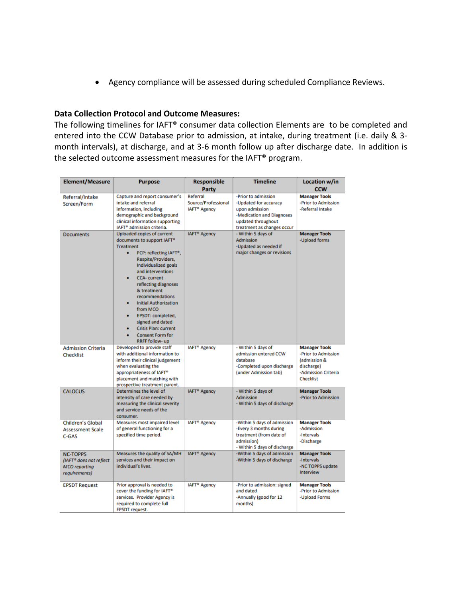• Agency compliance will be assessed during scheduled Compliance Reviews.

#### **Data Collection Protocol and Outcome Measures:**

The following timelines for IAFT® consumer data collection Elements are to be completed and entered into the CCW Database prior to admission, at intake, during treatment (i.e. daily & 3 month intervals), at discharge, and at 3-6 month follow up after discharge date. In addition is the selected outcome assessment measures for the IAFT® program.

| <b>Element/Measure</b>                                                              | <b>Purpose</b>                                                                                                                                                                                                                                                                                                                                                                                                                     | <b>Responsible</b>                              | <b>Timeline</b>                                                                                                                | Location w/in<br><b>CCW</b>                                                                                          |
|-------------------------------------------------------------------------------------|------------------------------------------------------------------------------------------------------------------------------------------------------------------------------------------------------------------------------------------------------------------------------------------------------------------------------------------------------------------------------------------------------------------------------------|-------------------------------------------------|--------------------------------------------------------------------------------------------------------------------------------|----------------------------------------------------------------------------------------------------------------------|
|                                                                                     |                                                                                                                                                                                                                                                                                                                                                                                                                                    | Party<br>Referral                               | -Prior to admission                                                                                                            |                                                                                                                      |
| Referral/Intake<br>Screen/Form                                                      | Capture and report consumer's<br>intake and referral<br>information, including<br>demographic and background<br>clinical information supporting<br>IAFT <sup>®</sup> admission criteria.                                                                                                                                                                                                                                           | Source/Professional<br>IAFT <sup>®</sup> Agency | -Updated for accuracy<br>upon admission<br>-Medication and Diagnoses<br>updated throughout<br>treatment as changes occur       | <b>Manager Tools</b><br>-Prior to Admission<br>-Referral Intake                                                      |
| <b>Documents</b>                                                                    | Uploaded copies of current<br>documents to support IAFT®<br><b>Treatment</b><br>PCP: reflecting IAFT*,<br>Respite/Providers,<br>Individualized goals<br>and interventions<br><b>CCA-current</b><br>reflecting diagnoses<br>& treatment<br>recommendations<br><b>Initial Authorization</b><br>from MCO<br>EPSDT: completed,<br>signed and dated<br><b>Crisis Plan: current</b><br><b>Consent Form for</b><br><b>RRFF follow- up</b> | <b>IAFT<sup>®</sup></b> Agency                  | - Within 5 days of<br><b>Admission</b><br>-Updated as needed if<br>major changes or revisions                                  | <b>Manager Tools</b><br>-Upload forms                                                                                |
| <b>Admission Criteria</b><br><b>Checklist</b>                                       | Developed to provide staff<br>with additional information to<br>inform their clinical judgement<br>when evaluating the<br>appropriateness of IAFT®<br>placement and matching with<br>prospective treatment parent.                                                                                                                                                                                                                 | <b>IAFT<sup>®</sup></b> Agency                  | - Within 5 days of<br>admission entered CCW<br>database<br>-Completed upon discharge<br>(under Admission tab)                  | <b>Manager Tools</b><br>-Prior to Admission<br>(admission &<br>discharge)<br>-Admission Criteria<br><b>Checklist</b> |
| <b>CALOCUS</b>                                                                      | Determines the level of<br>intensity of care needed by<br>measuring the clinical severity<br>and service needs of the<br>consumer.                                                                                                                                                                                                                                                                                                 | <b>IAFT<sup>®</sup></b> Agency                  | - Within 5 days of<br><b>Admission</b><br>- Within 5 days of discharge                                                         | <b>Manager Tools</b><br>-Prior to Admission                                                                          |
| <b>Children's Global</b><br><b>Assessment Scale</b><br>$C-GAS$                      | Measures most impaired level<br>of general functioning for a<br>specified time period.                                                                                                                                                                                                                                                                                                                                             | <b>IAFT<sup>®</sup></b> Agency                  | -Within 5 days of admission<br>-Every 3 months during<br>treatment (from date of<br>admission)<br>- Within 5 days of discharge | <b>Manager Tools</b><br>-Admission<br>-Intervals<br>-Discharge                                                       |
| <b>NC-TOPPS</b><br>(IAFT® does not reflect<br><b>MCO</b> reporting<br>requirements) | Measures the quality of SA/MH<br>services and their impact on<br>individual's lives.                                                                                                                                                                                                                                                                                                                                               | <b>IAFT<sup>®</sup></b> Agency                  | -Within 5 days of admission<br>-Within 5 days of discharge                                                                     | <b>Manager Tools</b><br>-Intervals<br>-NC TOPPS update<br>Interview                                                  |
| <b>EPSDT Request</b>                                                                | Prior approval is needed to<br>cover the funding for IAFT®<br>services. Provider Agency is<br>required to complete full<br><b>EPSDT</b> request.                                                                                                                                                                                                                                                                                   | IAFT <sup>®</sup> Agency                        | -Prior to admission: signed<br>and dated<br>-Annually (good for 12<br>months)                                                  | <b>Manager Tools</b><br>-Prior to Admission<br>-Upload Forms                                                         |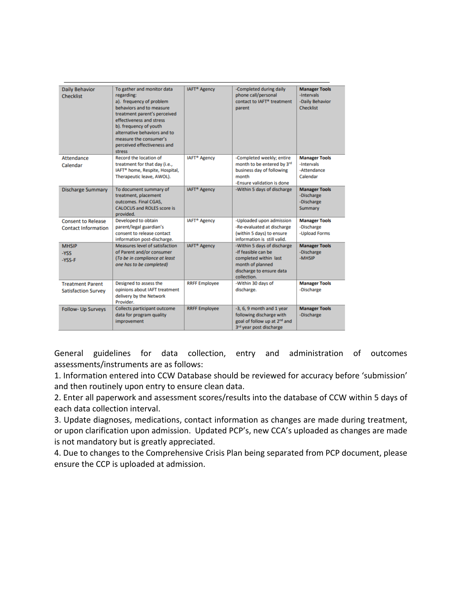| <b>Daily Behavior</b><br><b>Checklist</b>               | To gather and monitor data<br>regarding:<br>a). frequency of problem<br>behaviors and to measure<br>treatment parent's perceived<br>effectiveness and stress<br>b). frequency of youth<br>alternative behaviors and to<br>measure the consumer's<br>perceived effectiveness and<br>stress | <b>IAFT<sup>®</sup></b> Agency | -Completed during daily<br>phone call/personal<br>contact to IAFT® treatment<br>parent                                                     | <b>Manager Tools</b><br>-Intervals<br>-Daily Behavior<br><b>Checklist</b> |
|---------------------------------------------------------|-------------------------------------------------------------------------------------------------------------------------------------------------------------------------------------------------------------------------------------------------------------------------------------------|--------------------------------|--------------------------------------------------------------------------------------------------------------------------------------------|---------------------------------------------------------------------------|
| <b>Attendance</b><br>Calendar                           | <b>Record the location of</b><br>treatment for that day (i.e.,<br>IAFT <sup>®</sup> home, Respite, Hospital,<br>Therapeutic leave, AWOL).                                                                                                                                                 | <b>IAFT<sup>®</sup></b> Agency | -Completed weekly; entire<br>month to be entered by 3rd<br>business day of following<br>month<br>-Ensure validation is done                | <b>Manager Tools</b><br>-Intervals<br>-Attendance<br>Calendar             |
| <b>Discharge Summary</b>                                | To document summary of<br>treatment, placement<br>outcomes. Final CGAS,<br><b>CALOCUS and ROLES score is</b><br>provided.                                                                                                                                                                 | <b>IAFT<sup>®</sup></b> Agency | -Within 5 days of discharge                                                                                                                | <b>Manager Tools</b><br>-Discharge<br>-Discharge<br>Summary               |
| <b>Consent to Release</b><br><b>Contact Information</b> | Developed to obtain<br>parent/legal guardian's<br>consent to release contact<br>information post-discharge.                                                                                                                                                                               | <b>IAFT<sup>®</sup></b> Agency | -Uploaded upon admission<br>-Re-evaluated at discharge<br>(within 5 days) to ensure<br>information is still valid.                         | <b>Manager Tools</b><br>-Discharge<br>-Upload Forms                       |
| <b>MHSIP</b><br>-YSS<br>-YSS-F                          | Measures level of satisfaction<br>of Parent and/or consumer<br>(To be in compliance at least<br>one has to be completed)                                                                                                                                                                  | <b>IAFT<sup>®</sup></b> Agency | -Within 5 days of discharge<br>-If feasible can be<br>completed within last<br>month of planned<br>discharge to ensure data<br>collection. | <b>Manager Tools</b><br>-Discharge<br>-MHSIP                              |
| <b>Treatment Parent</b><br><b>Satisfaction Survey</b>   | Designed to assess the<br>opinions about IAFT treatment<br>delivery by the Network<br>Provider.                                                                                                                                                                                           | <b>RRFF Employee</b>           | -Within 30 days of<br>discharge.                                                                                                           | <b>Manager Tools</b><br>-Discharge                                        |
| <b>Follow- Up Surveys</b>                               | Collects participant outcome<br>data for program quality<br>improvement                                                                                                                                                                                                                   | <b>RRFF Employee</b>           | -3, 6, 9 month and 1 year<br>following discharge with<br>goal of follow up at 2 <sup>nd</sup> and<br>3rd year post discharge               | <b>Manager Tools</b><br>-Discharge                                        |

General guidelines for data collection, entry and administration of outcomes assessments/instruments are as follows:

1. Information entered into CCW Database should be reviewed for accuracy before 'submission' and then routinely upon entry to ensure clean data.

2. Enter all paperwork and assessment scores/results into the database of CCW within 5 days of each data collection interval.

3. Update diagnoses, medications, contact information as changes are made during treatment, or upon clarification upon admission. Updated PCP's, new CCA's uploaded as changes are made is not mandatory but is greatly appreciated.

4. Due to changes to the Comprehensive Crisis Plan being separated from PCP document, please ensure the CCP is uploaded at admission.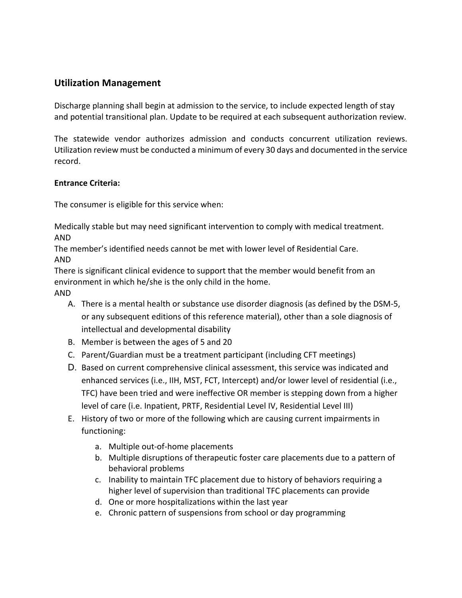### **Utilization Management**

Discharge planning shall begin at admission to the service, to include expected length of stay and potential transitional plan. Update to be required at each subsequent authorization review.

The statewide vendor authorizes admission and conducts concurrent utilization reviews. Utilization review must be conducted a minimum of every 30 days and documented in the service record.

### **Entrance Criteria:**

The consumer is eligible for this service when:

Medically stable but may need significant intervention to comply with medical treatment. AND

The member's identified needs cannot be met with lower level of Residential Care. AND

There is significant clinical evidence to support that the member would benefit from an environment in which he/she is the only child in the home.

AND

- A. There is a mental health or substance use disorder diagnosis (as defined by the DSM-5, or any subsequent editions of this reference material), other than a sole diagnosis of intellectual and developmental disability
- B. Member is between the ages of 5 and 20
- C. Parent/Guardian must be a treatment participant (including CFT meetings)
- D. Based on current comprehensive clinical assessment, this service was indicated and enhanced services (i.e., IIH, MST, FCT, Intercept) and/or lower level of residential (i.e., TFC) have been tried and were ineffective OR member is stepping down from a higher level of care (i.e. Inpatient, PRTF, Residential Level IV, Residential Level III)
- E. History of two or more of the following which are causing current impairments in functioning:
	- a. Multiple out-of-home placements
	- b. Multiple disruptions of therapeutic foster care placements due to a pattern of behavioral problems
	- c. Inability to maintain TFC placement due to history of behaviors requiring a higher level of supervision than traditional TFC placements can provide
	- d. One or more hospitalizations within the last year
	- e. Chronic pattern of suspensions from school or day programming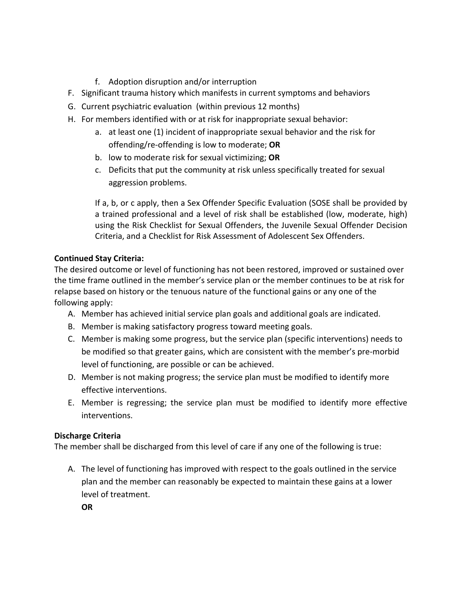- f. Adoption disruption and/or interruption
- F. Significant trauma history which manifests in current symptoms and behaviors
- G. Current psychiatric evaluation (within previous 12 months)
- H. For members identified with or at risk for inappropriate sexual behavior:
	- a. at least one (1) incident of inappropriate sexual behavior and the risk for offending/re-offending is low to moderate; **OR**
	- b. low to moderate risk for sexual victimizing; **OR**
	- c. Deficits that put the community at risk unless specifically treated for sexual aggression problems.

If a, b, or c apply, then a Sex Offender Specific Evaluation (SOSE shall be provided by a trained professional and a level of risk shall be established (low, moderate, high) using the Risk Checklist for Sexual Offenders, the Juvenile Sexual Offender Decision Criteria, and a Checklist for Risk Assessment of Adolescent Sex Offenders.

### **Continued Stay Criteria:**

The desired outcome or level of functioning has not been restored, improved or sustained over the time frame outlined in the member's service plan or the member continues to be at risk for relapse based on history or the tenuous nature of the functional gains or any one of the following apply:

- A. Member has achieved initial service plan goals and additional goals are indicated.
- B. Member is making satisfactory progress toward meeting goals.
- C. Member is making some progress, but the service plan (specific interventions) needs to be modified so that greater gains, which are consistent with the member's pre-morbid level of functioning, are possible or can be achieved.
- D. Member is not making progress; the service plan must be modified to identify more effective interventions.
- E. Member is regressing; the service plan must be modified to identify more effective interventions.

### **Discharge Criteria**

The member shall be discharged from this level of care if any one of the following is true:

A. The level of functioning has improved with respect to the goals outlined in the service plan and the member can reasonably be expected to maintain these gains at a lower level of treatment.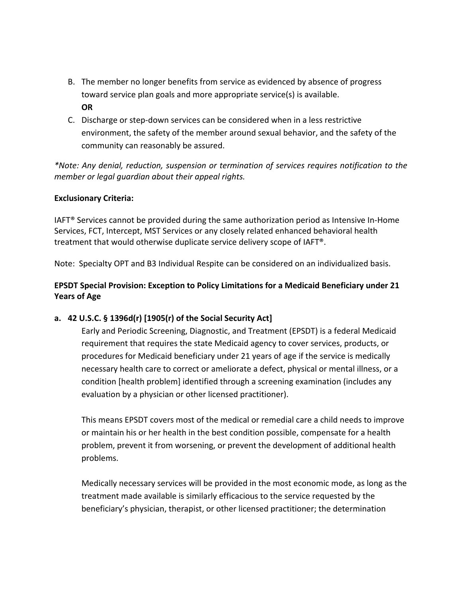- B. The member no longer benefits from service as evidenced by absence of progress toward service plan goals and more appropriate service(s) is available. **OR**
- C. Discharge or step-down services can be considered when in a less restrictive environment, the safety of the member around sexual behavior, and the safety of the community can reasonably be assured.

*\*Note: Any denial, reduction, suspension or termination of services requires notification to the member or legal guardian about their appeal rights.* 

### **Exclusionary Criteria:**

IAFT® Services cannot be provided during the same authorization period as Intensive In-Home Services, FCT, Intercept, MST Services or any closely related enhanced behavioral health treatment that would otherwise duplicate service delivery scope of IAFT®.

Note: Specialty OPT and B3 Individual Respite can be considered on an individualized basis.

### **EPSDT Special Provision: Exception to Policy Limitations for a Medicaid Beneficiary under 21 Years of Age**

### **a. 42 U.S.C. § 1396d(r) [1905(r) of the Social Security Act]**

Early and Periodic Screening, Diagnostic, and Treatment (EPSDT) is a federal Medicaid requirement that requires the state Medicaid agency to cover services, products, or procedures for Medicaid beneficiary under 21 years of age if the service is medically necessary health care to correct or ameliorate a defect, physical or mental illness, or a condition [health problem] identified through a screening examination (includes any evaluation by a physician or other licensed practitioner).

This means EPSDT covers most of the medical or remedial care a child needs to improve or maintain his or her health in the best condition possible, compensate for a health problem, prevent it from worsening, or prevent the development of additional health problems.

Medically necessary services will be provided in the most economic mode, as long as the treatment made available is similarly efficacious to the service requested by the beneficiary's physician, therapist, or other licensed practitioner; the determination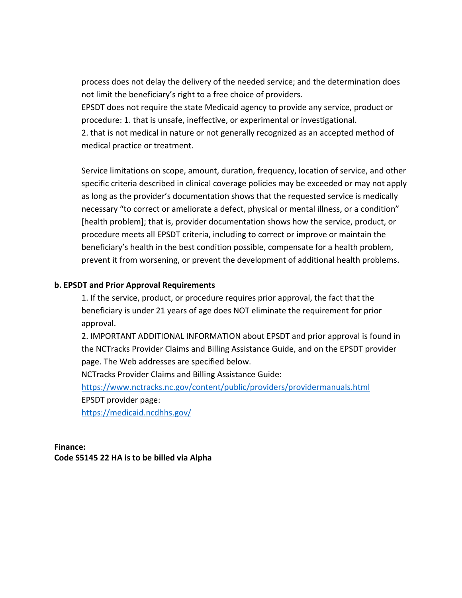process does not delay the delivery of the needed service; and the determination does not limit the beneficiary's right to a free choice of providers.

EPSDT does not require the state Medicaid agency to provide any service, product or procedure: 1. that is unsafe, ineffective, or experimental or investigational.

2. that is not medical in nature or not generally recognized as an accepted method of medical practice or treatment.

Service limitations on scope, amount, duration, frequency, location of service, and other specific criteria described in clinical coverage policies may be exceeded or may not apply as long as the provider's documentation shows that the requested service is medically necessary "to correct or ameliorate a defect, physical or mental illness, or a condition" [health problem]; that is, provider documentation shows how the service, product, or procedure meets all EPSDT criteria, including to correct or improve or maintain the beneficiary's health in the best condition possible, compensate for a health problem, prevent it from worsening, or prevent the development of additional health problems.

### **b. EPSDT and Prior Approval Requirements**

1. If the service, product, or procedure requires prior approval, the fact that the beneficiary is under 21 years of age does NOT eliminate the requirement for prior approval.

2. IMPORTANT ADDITIONAL INFORMATION about EPSDT and prior approval is found in the NCTracks Provider Claims and Billing Assistance Guide, and on the EPSDT provider page. The Web addresses are specified below.

NCTracks Provider Claims and Billing Assistance Guide:

<https://www.nctracks.nc.gov/content/public/providers/providermanuals.html> EPSDT provider page:

<https://medicaid.ncdhhs.gov/>

**Finance: Code S5145 22 HA is to be billed via Alpha**